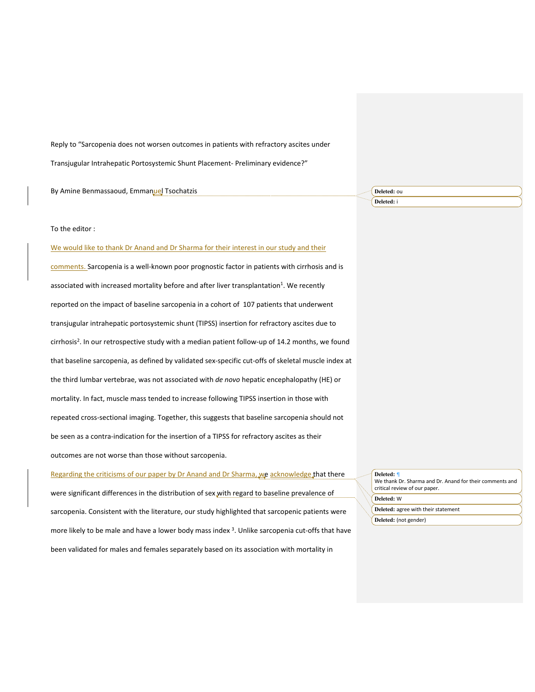Reply to "Sarcopenia does not worsen outcomes in patients with refractory ascites under

Transjugular Intrahepatic Portosystemic Shunt Placement- Preliminary evidence?"

| By An<br>resaoua.<br>l sochatzis<br>:mman <u>ı</u><br>nmas | Deleted: ou<br>. |
|------------------------------------------------------------|------------------|
|                                                            | Deleted: 1       |

## To the editor :

We would like to thank Dr Anand and Dr Sharma for their interest in our study and their

comments. Sarcopenia is a well-known poor prognostic factor in patients with cirrhosis and is associated with increased mortality before and after liver transplantation<sup>1</sup>. We recently reported on the impact of baseline sarcopenia in a cohort of 107 patients that underwent transjugular intrahepatic portosystemic shunt (TIPSS) insertion for refractory ascites due to cirrhosis<sup>2</sup>. In our retrospective study with a median patient follow-up of 14.2 months, we found that baseline sarcopenia, as defined by validated sex-specific cut-offs of skeletal muscle index at the third lumbar vertebrae, was not associated with *de novo* hepatic encephalopathy (HE) or mortality. In fact, muscle mass tended to increase following TIPSS insertion in those with repeated cross-sectional imaging. Together, this suggests that baseline sarcopenia should not be seen as a contra-indication for the insertion of a TIPSS for refractory ascites as their outcomes are not worse than those without sarcopenia.

Regarding the criticisms of our paper by Dr Anand and Dr Sharma, we acknowledge that there were significant differences in the distribution of sex with regard to baseline prevalence of sarcopenia. Consistent with the literature, our study highlighted that sarcopenic patients were more likely to be male and have a lower body mass index <sup>3</sup>. Unlike sarcopenia cut-offs that have been validated for males and females separately based on its association with mortality in

| Deleted: ¶<br>We thank Dr. Sharma and Dr. Anand for their comments and<br>critical review of our paper. |  |
|---------------------------------------------------------------------------------------------------------|--|
| Deleted: W                                                                                              |  |
| Deleted: agree with their statement                                                                     |  |
| Deleted: (not gender)                                                                                   |  |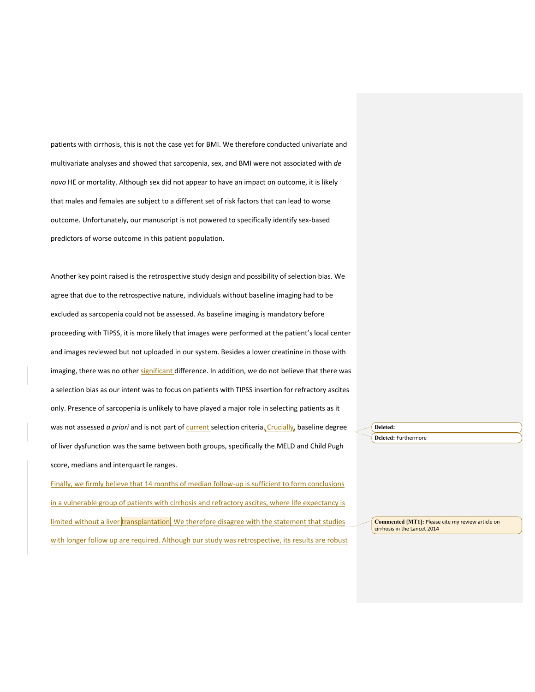patients with cirrhosis, this is not the case yet for BMI. We therefore conducted univariate and multivariate analyses and showed that sarcopenia, sex, and BMI were not associated with *de novo* HE or mortality. Although sex did not appear to have an impact on outcome, it is likely that males and females are subject to a different set of risk factors that can lead to worse outcome. Unfortunately, our manuscript is not powered to specifically identify sex-based predictors of worse outcome in this patient population.

Another key point raised is the retrospective study design and possibility of selection bias. We agree that due to the retrospective nature, individuals without baseline imaging had to be excluded as sarcopenia could not be assessed. As baseline imaging is mandatory before proceeding with TIPSS, it is more likely that images were performed at the patient's local center and images reviewed but not uploaded in our system. Besides a lower creatinine in those with imaging, there was no other significant difference. In addition, we do not believe that there was a selection bias as our intent was to focus on patients with TIPSS insertion for refractory ascites only. Presence of sarcopenia is unlikely to have played a major role in selecting patients as it was not assessed *a priori* and is not part of *current* selection criteria. Crucially, baseline degree of liver dysfunction was the same between both groups, specifically the MELD and Child Pugh score, medians and interquartile ranges.

Finally, we firmly believe that 14 months of median follow-up is sufficient to form conclusions in a vulnerable group of patients with cirrhosis and refractory ascites, where life expectancy is limited without a liver transplantation. We therefore disagree with the statement that studies with longer follow up are required. Although our study was retrospective, its results are robust **Deleted:** 

**Deleted:** Furthermore

**Commented [MT1]:** Please cite my review article on cirrhosis in the Lancet 2014